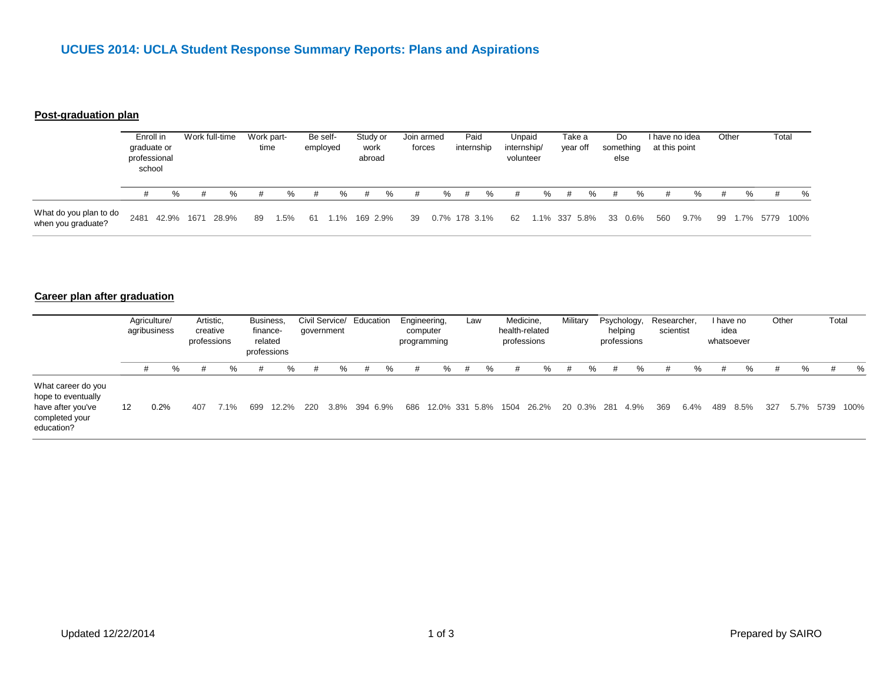### **Post-graduation plan**

|                                              | Enroll in<br>graduate or<br>professional<br>school |       | Work full-time |       | Work part-<br>time |      | Be self-<br>employed |         | Study or<br>work<br>abroad |          | Join armed<br>forces |               | Paid<br>internship |   | Unpaid<br>internship/<br>volunteer |          | Take a<br>year off |      | Do.<br>something<br>else |         | I have no idea<br>at this point |         | Other |        | Total |      |
|----------------------------------------------|----------------------------------------------------|-------|----------------|-------|--------------------|------|----------------------|---------|----------------------------|----------|----------------------|---------------|--------------------|---|------------------------------------|----------|--------------------|------|--------------------------|---------|---------------------------------|---------|-------|--------|-------|------|
|                                              |                                                    | %     | #              | %     | #                  | ℅    |                      | %       | #                          | %        | #                    | %             | #                  | % | #                                  | %        | #                  | %    | #                        | %       | #                               | %       |       | ℅      | #     | %    |
| What do you plan to do<br>when you graduate? | 2481                                               | 42.9% | 1671           | 28.9% | 89                 | 1.5% | 61                   | $1.1\%$ |                            | 169 2.9% | -39                  | 0.7% 178 3.1% |                    |   | 62                                 | 1.1% 337 |                    | 5.8% |                          | 33 0.6% | 560                             | $9.7\%$ | 99    | $.7\%$ | 5779  | 100% |

### **Career plan after graduation**

|                                                                                               | Agriculture/<br>agribusiness |      | Artistic,<br>creative<br>professions |     |      | Business,<br>finance-<br>related<br>professions |          | Civil Service/ Education<br>government |   |               |     | Engineering,<br>computer<br>programming |   | Law | Medicine,<br>health-related<br>professions |       | Military |   | Psychology,<br>helping<br>professions |      | Researcher,<br>scientist |      | I have no<br>idea<br>whatsoever |         | Other |         | Total |      |
|-----------------------------------------------------------------------------------------------|------------------------------|------|--------------------------------------|-----|------|-------------------------------------------------|----------|----------------------------------------|---|---------------|-----|-----------------------------------------|---|-----|--------------------------------------------|-------|----------|---|---------------------------------------|------|--------------------------|------|---------------------------------|---------|-------|---------|-------|------|
|                                                                                               |                              | #    | ℅                                    | #   | %    | #                                               | %        | #                                      | % | #             | %   | %                                       | # | ℅   | #                                          | %     | #        | % | #                                     | ℅    | #                        | %    | #                               | %       | #     | ℅       | #     | %    |
| What career do you<br>hope to eventually<br>have after you've<br>completed your<br>education? | 12                           | 0.2% |                                      | 407 | 7.1% | 699                                             | $12.2\%$ | 220                                    |   | 3.8% 394 6.9% | 686 | 12.0% 331 5.8% 1504                     |   |     |                                            | 26.2% |          |   | 20 0.3% 281                           | 4.9% | 369                      | 6.4% | 489                             | $8.5\%$ | 327   | $5.7\%$ | 5739  | 100% |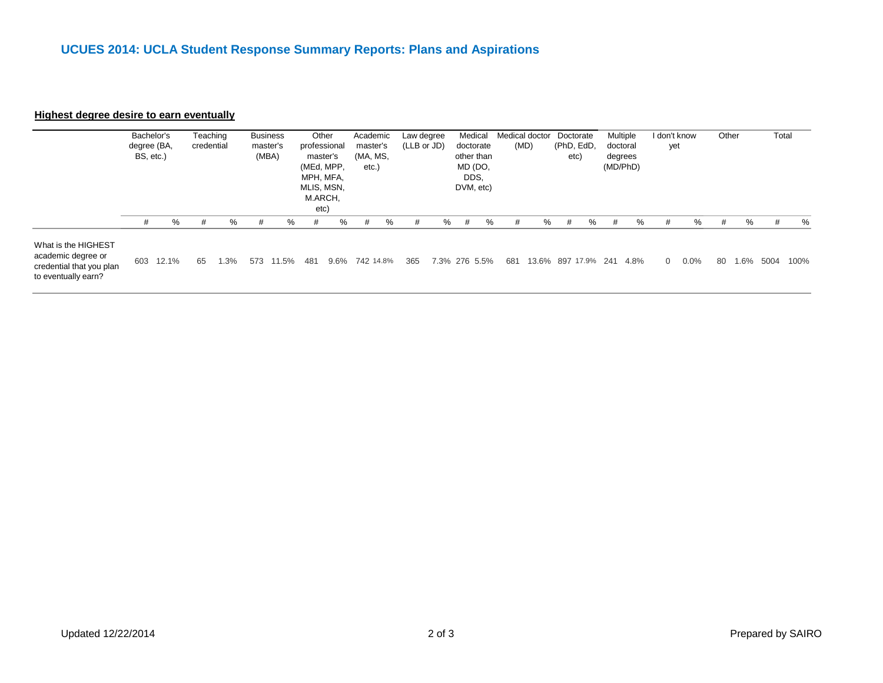#### **Highest degree desire to earn eventually**

|                                                             | Bachelor's<br>degree (BA,<br>BS, etc.) |   | Teaching<br>credential |   | <b>Business</b><br>master's<br>(MBA) |   | Other<br>professional<br>master's<br>(MEd, MPP,<br>MPH, MFA,<br>MLIS, MSN,<br>M.ARCH,<br>etc) |   | Academic<br>master's<br>(MA, MS,<br>etc. |   | Law degree<br>(LLB or JD) |   | Medical<br>doctorate<br>other than<br>MD (DO,<br>DDS.<br>DVM, etc) |   | Medical doctor<br>(MD) |   | Doctorate<br>(PhD, EdD,<br>etc) |   | Multiple<br>doctoral<br>degrees<br>(MD/PhD) |   | I don't know<br>yet |   |   | Other |   | Total |   |
|-------------------------------------------------------------|----------------------------------------|---|------------------------|---|--------------------------------------|---|-----------------------------------------------------------------------------------------------|---|------------------------------------------|---|---------------------------|---|--------------------------------------------------------------------|---|------------------------|---|---------------------------------|---|---------------------------------------------|---|---------------------|---|---|-------|---|-------|---|
|                                                             | #                                      | % | #                      | % | #                                    | % | #                                                                                             | % | #                                        | % | #                         | % | #                                                                  | % | #                      | % | #                               | ℅ | #                                           | % |                     | # | % | #     | % | #     | % |
| What is the HIGHEST<br>المتحاد والمستحاد المتحاد والمتحافية |                                        |   |                        |   |                                      |   |                                                                                               |   |                                          |   |                           |   |                                                                    |   |                        |   |                                 |   |                                             |   |                     |   |   |       |   |       |   |

academic degree or credential that you plan to eventually earn? 603 12.1% 65 1.3% 573 11.5% 481 9.6% 742 14.8% 365 7.3% 276 5.5% 681 13.6% 897 17.9% 241 4.8% 0 0.0% 80 1.6% 5004 100%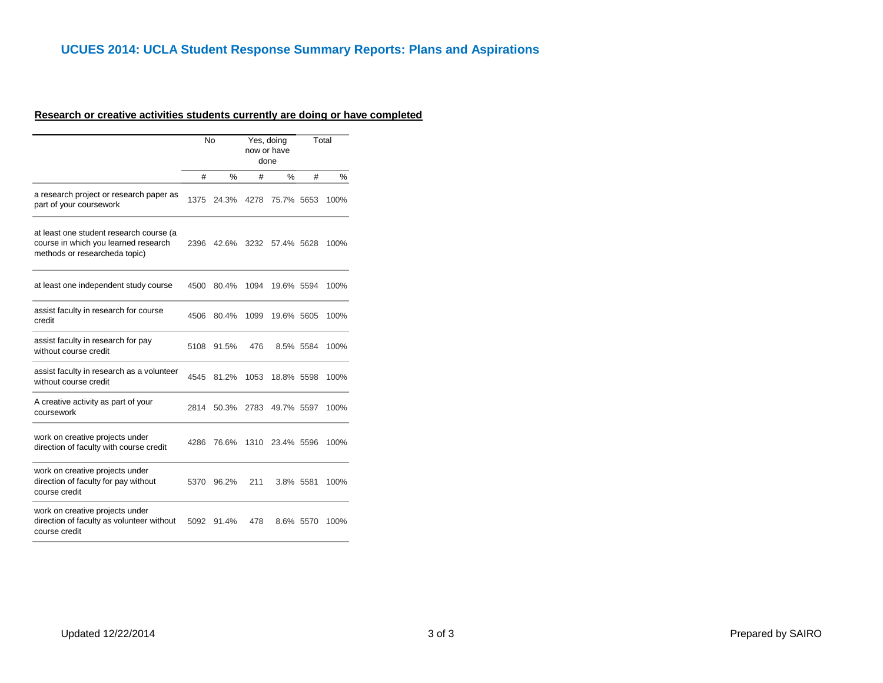# **UCUES 2014: UCLA Student Response Summary Reports: Plans and Aspirations**

### **Research or creative activities students currently are doing or have completed**

|                                                                                                                  |      | No    |      | Yes, doing<br>now or have<br>done |           | Total |  |
|------------------------------------------------------------------------------------------------------------------|------|-------|------|-----------------------------------|-----------|-------|--|
|                                                                                                                  | #    | $\%$  | #    | %                                 | #         | %     |  |
| a research project or research paper as<br>part of your coursework                                               | 1375 | 24.3% | 4278 | 75.7% 5653                        |           | 100%  |  |
| at least one student research course (a<br>course in which you learned research<br>methods or researcheda topic) | 2396 | 42.6% | 3232 | 57.4% 5628                        |           | 100%  |  |
| at least one independent study course                                                                            | 4500 | 80.4% | 1094 | 19.6% 5594                        |           | 100%  |  |
| assist faculty in research for course<br>credit                                                                  | 4506 | 80.4% | 1099 | 19.6% 5605                        |           | 100%  |  |
| assist faculty in research for pay<br>without course credit                                                      | 5108 | 91.5% | 476  |                                   | 8.5% 5584 | 100%  |  |
| assist faculty in research as a volunteer<br>without course credit                                               | 4545 | 81.2% | 1053 | 18.8% 5598                        |           | 100%  |  |
| A creative activity as part of your<br>coursework                                                                | 2814 | 50.3% | 2783 | 49.7% 5597                        |           | 100%  |  |
| work on creative projects under<br>direction of faculty with course credit                                       | 4286 | 76.6% | 1310 | 23.4% 5596                        |           | 100%  |  |
| work on creative projects under<br>direction of faculty for pay without<br>course credit                         | 5370 | 96.2% | 211  | 3.8% 5581                         |           | 100%  |  |
| work on creative projects under<br>direction of faculty as volunteer without<br>course credit                    | 5092 | 91.4% | 478  |                                   | 8.6% 5570 | 100%  |  |